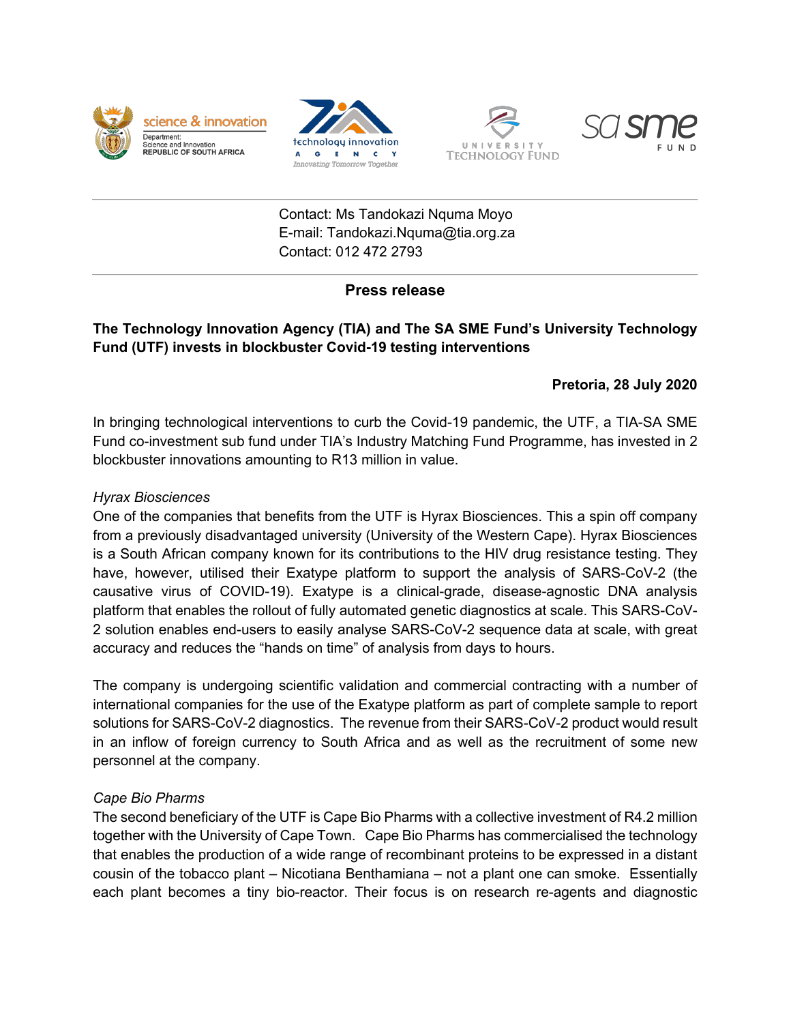







Contact: Ms Tandokazi Nquma Moyo E-mail: Tandokazi.Nquma@tia.org.za Contact: 012 472 2793

# **Press release**

# **The Technology Innovation Agency (TIA) and The SA SME Fund's University Technology Fund (UTF) invests in blockbuster Covid-19 testing interventions**

### **Pretoria, 28 July 2020**

In bringing technological interventions to curb the Covid-19 pandemic, the UTF, a TIA-SA SME Fund co-investment sub fund under TIA's Industry Matching Fund Programme, has invested in 2 blockbuster innovations amounting to R13 million in value.

### *Hyrax Biosciences*

One of the companies that benefits from the UTF is Hyrax Biosciences. This a spin off company from a previously disadvantaged university (University of the Western Cape). Hyrax Biosciences is a South African company known for its contributions to the HIV drug resistance testing. They have, however, utilised their Exatype platform to support the analysis of SARS-CoV-2 (the causative virus of COVID-19). Exatype is a clinical-grade, disease-agnostic DNA analysis platform that enables the rollout of fully automated genetic diagnostics at scale. This SARS-CoV-2 solution enables end-users to easily analyse SARS-CoV-2 sequence data at scale, with great accuracy and reduces the "hands on time" of analysis from days to hours.

The company is undergoing scientific validation and commercial contracting with a number of international companies for the use of the Exatype platform as part of complete sample to report solutions for SARS-CoV-2 diagnostics. The revenue from their SARS-CoV-2 product would result in an inflow of foreign currency to South Africa and as well as the recruitment of some new personnel at the company.

#### *Cape Bio Pharms*

The second beneficiary of the UTF is Cape Bio Pharms with a collective investment of R4.2 million together with the University of Cape Town. Cape Bio Pharms has commercialised the technology that enables the production of a wide range of recombinant proteins to be expressed in a distant cousin of the tobacco plant – Nicotiana Benthamiana – not a plant one can smoke. Essentially each plant becomes a tiny bio-reactor. Their focus is on research re-agents and diagnostic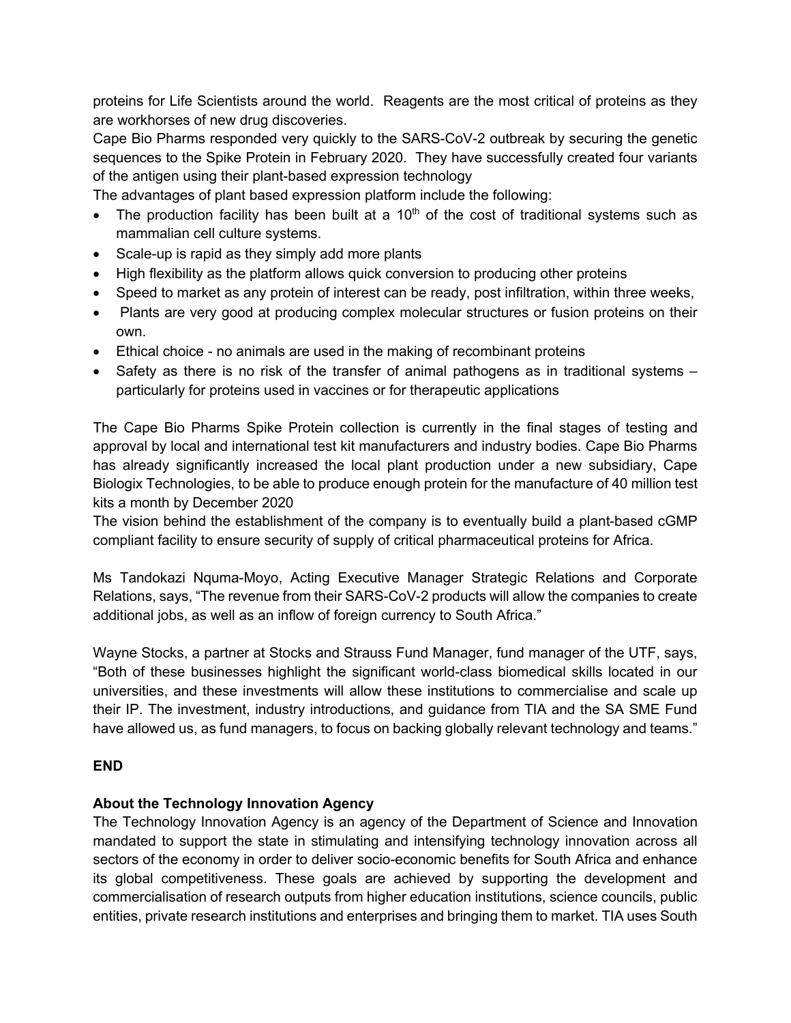proteins for Life Scientists around the world. Reagents are the most critical of proteins as they are workhorses of new drug discoveries.

Cape Bio Pharms responded very quickly to the SARS-CoV-2 outbreak by securing the genetic sequences to the Spike Protein in February 2020. They have successfully created four variants of the antigen using their plant-based expression technology

The advantages of plant based expression platform include the following:

- The production facility has been built at a  $10<sup>th</sup>$  of the cost of traditional systems such as mammalian cell culture systems.
- Scale-up is rapid as they simply add more plants
- High flexibility as the platform allows quick conversion to producing other proteins
- Speed to market as any protein of interest can be ready, post infiltration, within three weeks,
- Plants are very good at producing complex molecular structures or fusion proteins on their own.
- Ethical choice no animals are used in the making of recombinant proteins
- Safety as there is no risk of the transfer of animal pathogens as in traditional systems particularly for proteins used in vaccines or for therapeutic applications

The Cape Bio Pharms Spike Protein collection is currently in the final stages of testing and approval by local and international test kit manufacturers and industry bodies. Cape Bio Pharms has already significantly increased the local plant production under a new subsidiary, Cape Biologix Technologies, to be able to produce enough protein for the manufacture of 40 million test kits a month by December 2020

The vision behind the establishment of the company is to eventually build a plant-based cGMP compliant facility to ensure security of supply of critical pharmaceutical proteins for Africa.

Ms Tandokazi Nquma-Moyo, Acting Executive Manager Strategic Relations and Corporate Relations, says, "The revenue from their SARS-CoV-2 products will allow the companies to create additional jobs, as well as an inflow of foreign currency to South Africa."

Wayne Stocks, a partner at Stocks and Strauss Fund Manager, fund manager of the UTF, says, "Both of these businesses highlight the significant world-class biomedical skills located in our universities, and these investments will allow these institutions to commercialise and scale up their IP. The investment, industry introductions, and guidance from TIA and the SA SME Fund have allowed us, as fund managers, to focus on backing globally relevant technology and teams."

# **END**

# **About the Technology Innovation Agency**

The Technology Innovation Agency is an agency of the Department of Science and Innovation mandated to support the state in stimulating and intensifying technology innovation across all sectors of the economy in order to deliver socio-economic benefits for South Africa and enhance its global competitiveness. These goals are achieved by supporting the development and commercialisation of research outputs from higher education institutions, science councils, public entities, private research institutions and enterprises and bringing them to market. TIA uses South